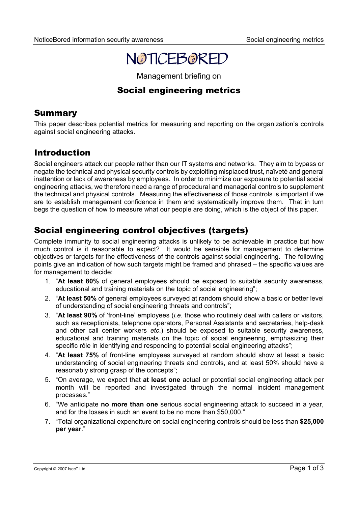

Management briefing on

# Social engineering metrics

### **Summary**

This paper describes potential metrics for measuring and reporting on the organization's controls against social engineering attacks.

## Introduction

Social engineers attack our people rather than our IT systems and networks. They aim to bypass or negate the technical and physical security controls by exploiting misplaced trust, naïveté and general inattention or lack of awareness by employees. In order to minimize our exposure to potential social engineering attacks, we therefore need a range of procedural and managerial controls to supplement the technical and physical controls. Measuring the effectiveness of those controls is important if we are to establish management confidence in them and systematically improve them. That in turn begs the question of how to measure what our people are doing, which is the object of this paper.

## Social engineering control objectives (targets)

Complete immunity to social engineering attacks is unlikely to be achievable in practice but how much control is it reasonable to expect? It would be sensible for management to determine objectives or targets for the effectiveness of the controls against social engineering. The following points give an indication of how such targets might be framed and phrased – the specific values are for management to decide:

- 1. "**At least 80%** of general employees should be exposed to suitable security awareness, educational and training materials on the topic of social engineering";
- 2. "**At least 50%** of general employees surveyed at random should show a basic or better level of understanding of social engineering threats and controls";
- 3. "**At least 90%** of 'front-line' employees (*i.e*. those who routinely deal with callers or visitors, such as receptionists, telephone operators, Personal Assistants and secretaries, help-desk and other call center workers *etc*.) should be exposed to suitable security awareness, educational and training materials on the topic of social engineering, emphasizing their specific rôle in identifying and responding to potential social engineering attacks";
- 4. "**At least 75%** of front-line employees surveyed at random should show at least a basic understanding of social engineering threats and controls, and at least 50% should have a reasonably strong grasp of the concepts";
- 5. "On average, we expect that **at least one** actual or potential social engineering attack per month will be reported and investigated through the normal incident management processes."
- 6. "We anticipate **no more than one** serious social engineering attack to succeed in a year, and for the losses in such an event to be no more than \$50,000."
- 7. "Total organizational expenditure on social engineering controls should be less than **\$25,000 per year**."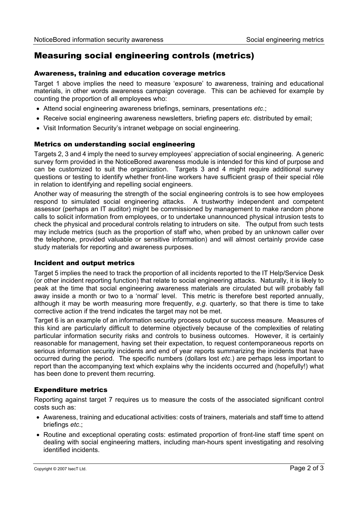### Measuring social engineering controls (metrics)

#### Awareness, training and education coverage metrics

Target 1 above implies the need to measure 'exposure' to awareness, training and educational materials, in other words awareness campaign coverage. This can be achieved for example by counting the proportion of all employees who:

- Attend social engineering awareness briefings, seminars, presentations *etc*.;
- Receive social engineering awareness newsletters, briefing papers *etc*. distributed by email;
- Visit Information Security's intranet webpage on social engineering.

#### Metrics on understanding social engineering

Targets 2, 3 and 4 imply the need to survey employees' appreciation of social engineering. A generic survey form provided in the NoticeBored awareness module is intended for this kind of purpose and can be customized to suit the organization. Targets 3 and 4 might require additional survey questions or testing to identify whether front-line workers have sufficient grasp of their special rôle in relation to identifying and repelling social engineers.

Another way of measuring the strength of the social engineering controls is to see how employees respond to simulated social engineering attacks. A trustworthy independent and competent assessor (perhaps an IT auditor) might be commissioned by management to make random phone calls to solicit information from employees, or to undertake unannounced physical intrusion tests to check the physical and procedural controls relating to intruders on site. The output from such tests may include metrics (such as the proportion of staff who, when probed by an unknown caller over the telephone, provided valuable or sensitive information) and will almost certainly provide case study materials for reporting and awareness purposes.

#### Incident and output metrics

Target 5 implies the need to track the proportion of all incidents reported to the IT Help/Service Desk (or other incident reporting function) that relate to social engineering attacks. Naturally, it is likely to peak at the time that social engineering awareness materials are circulated but will probably fall away inside a month or two to a 'normal' level. This metric is therefore best reported annually, although it may be worth measuring more frequently, *e.g*. quarterly, so that there is time to take corrective action if the trend indicates the target may not be met.

Target 6 is an example of an information security process output or success measure. Measures of this kind are particularly difficult to determine objectively because of the complexities of relating particular information security risks and controls to business outcomes. However, it is certainly reasonable for management, having set their expectation, to request contemporaneous reports on serious information security incidents and end of year reports summarizing the incidents that have occurred during the period. The specific numbers (dollars lost *etc*.) are perhaps less important to report than the accompanying text which explains why the incidents occurred and (hopefully!) what has been done to prevent them recurring.

#### Expenditure metrics

Reporting against target 7 requires us to measure the costs of the associated significant control costs such as:

- Awareness, training and educational activities: costs of trainers, materials and staff time to attend briefings *etc*.;
- Routine and exceptional operating costs: estimated proportion of front-line staff time spent on dealing with social engineering matters, including man-hours spent investigating and resolving identified incidents.